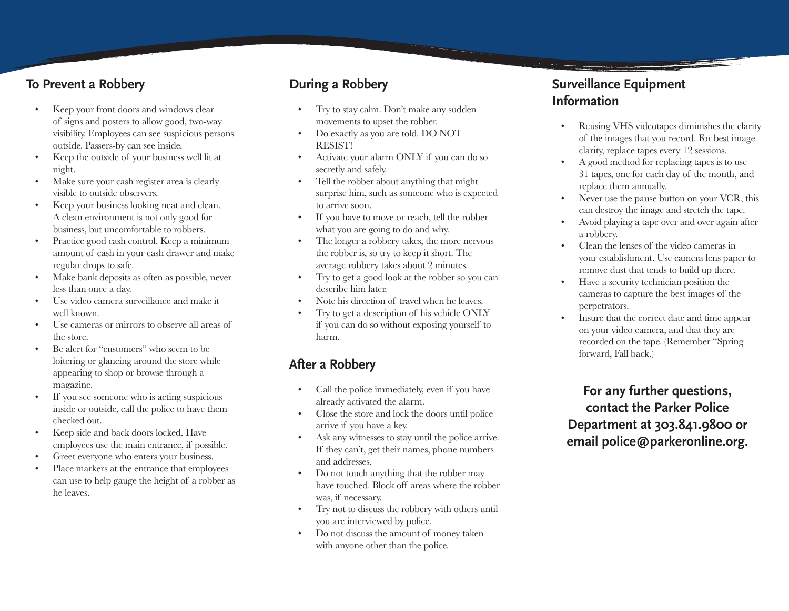#### **To Prevent a Robbery**

- Keep your front doors and windows clear of signs and posters to allow good, two-way visibility. Employees can see suspicious persons outside. Passers-by can see inside.
- Keep the outside of your business well lit at night.
- Make sure your cash register area is clearly visible to outside observers.
- Keep your business looking neat and clean. A clean environment is not only good for business, but uncomfortable to robbers.
- Practice good cash control. Keep a minimum amount of cash in your cash drawer and make regular drops to safe.
- Make bank deposits as often as possible, never less than once a day.
- • Use video camera surveillance and make it well known.
- • Use cameras or mirrors to observe all areas of the store.
- Be alert for "customers" who seem to be loitering or glancing around the store while appearing to shop or browse through a magazine.
- If you see someone who is acting suspicious inside or outside, call the police to have them checked out.
- • Keep side and back doors locked. Have employees use the main entrance, if possible.
- Greet everyone who enters your business.
- Place markers at the entrance that employees can use to help gauge the height of a robber as he leaves.

### **During a Robbery**

- Try to stay calm. Don't make any sudden movements to upset the robber.
- Do exactly as you are told. DO NOT RESIST!
- Activate your alarm ONLY if you can do so secretly and safely.
- Tell the robber about anything that might surprise him, such as someone who is expected to arrive soon.
- If you have to move or reach, tell the robber what you are going to do and why.
- The longer a robbery takes, the more nervous the robber is, so try to keep it short. The average robbery takes about 2 minutes.
- • Try to get a good look at the robber so you can describe him later.
- Note his direction of travel when he leaves.
- Try to get a description of his vehicle ONLY if you can do so without exposing yourself to harm.

## **After a Robbery**

- Call the police immediately, even if you have already activated the alarm.
- • Close the store and lock the doors until police arrive if you have a key.
- Ask any witnesses to stay until the police arrive. If they can't, get their names, phone numbers and addresses.
- Do not touch anything that the robber may have touched. Block off areas where the robber was, if necessary.
- • Try not to discuss the robbery with others until you are interviewed by police.
- Do not discuss the amount of money taken with anyone other than the police.

### **Surveillance Equipment Information**

- Reusing VHS videotapes diminishes the clarity of the images that you record. For best image clarity, replace tapes every 12 sessions.
- A good method for replacing tapes is to use 31 tapes, one for each day of the month, and replace them annually.
- Never use the pause button on your VCR, this can destroy the image and stretch the tape.
- Avoid playing a tape over and over again after a robbery.
- Clean the lenses of the video cameras in your establishment. Use camera lens paper to remove dust that tends to build up there.
- Have a security technician position the cameras to capture the best images of the perpetrators.
- Insure that the correct date and time appear on your video camera, and that they are recorded on the tape. (Remember "Spring forward, Fall back.)

**For any further questions, contact the Parker Police Department at 303.841.9800 or email police@parkeronline.org.**